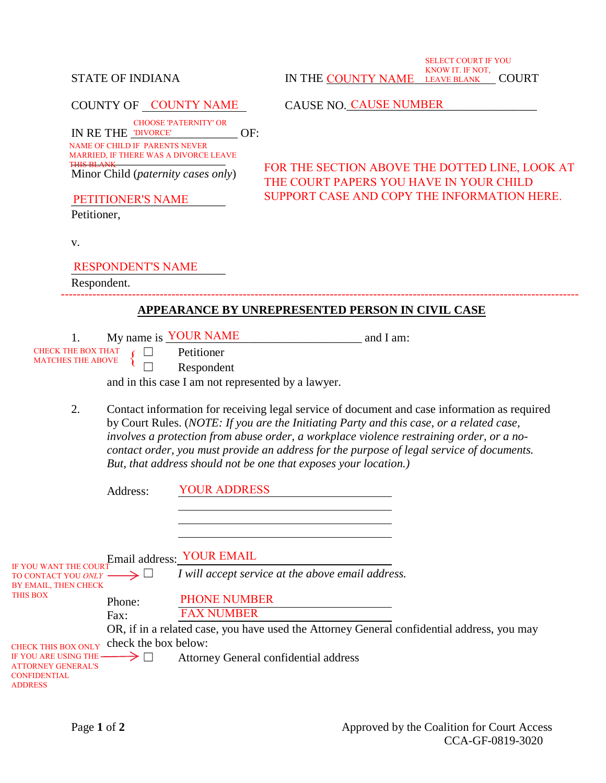#### COUNTY OF CAUSE NO.\_\_\_\_\_\_\_\_\_\_\_\_\_\_\_\_\_\_\_\_\_\_\_\_\_\_\_\_\_\_\_\_ COUNTY NAME IN RE THE **DIVORCE'** OF: MARRIED, IF THERE WAS A DIVORCE LEAVE<br>THIS BLANK Minor Child (*paternity cases only*) PETITIONER'S NAME Petitioner, v. RESPONDENT'S NAME Respondent. **APPEARANCE BY UNREPRESENTED PERSON IN CIVIL CASE** 1. My name is **YOUR NAME** and I am: ☐ Petitioner ☐ Respondent and in this case I am not represented by a lawyer. 2. Contact information for receiving legal service of document and case information as required by Court Rules. (*NOTE: If you are the Initiating Party and this case, or a related case, involves a protection from abuse order, a workplace violence restraining order, or a nocontact order, you must provide an address for the purpose of legal service of documents. But, that address should not be one that exposes your location.)* Address: Email address: YOUR EMAIL  $\rightarrow \Box$  *I will accept service at the above email address.* Phone: ----------------------------------------------------------------------------------------------------------------------------------- FOR THE SECTION ABOVE THE DOTTED LINE, LOOK AT THE COURT PAPERS YOU HAVE IN YOUR CHILD SUPPORT CASE AND COPY THE INFORMATION HERE. NAME OF CHILD IF PARENTS NEVER THIS BLANK CHOOSE 'PATERNITY' OR CAUSE NO. CAUSE NUMBER CHECK THE BOX THAT MATCHES THE ABOVE YOUR ADDRESS IF YOU WANT THE COURT TO CONTACT YOU *ONLY*  BY EMAIL, THEN CHECK THIS BOX<br>
Phone: PHONE NUMBER

OR, if in a related case, you have used the Attorney General confidential address, you may

 $\rightarrow$   $\Box$  Attorney General confidential address

FAX NUMBER

STATE OF INDIANA IN THE <u>COUNTY NAME LEAVE BLANK </u>COURT

SELECT COURT IF YOU KNOW IT. IF NOT,

LEAVE BLANK COURT

IF YOU ARE USING THE ATTORNEY GENERAL'S CONFIDENTIAL ADDRESS

Fax:

CHECK THIS BOX ONLY check the box below: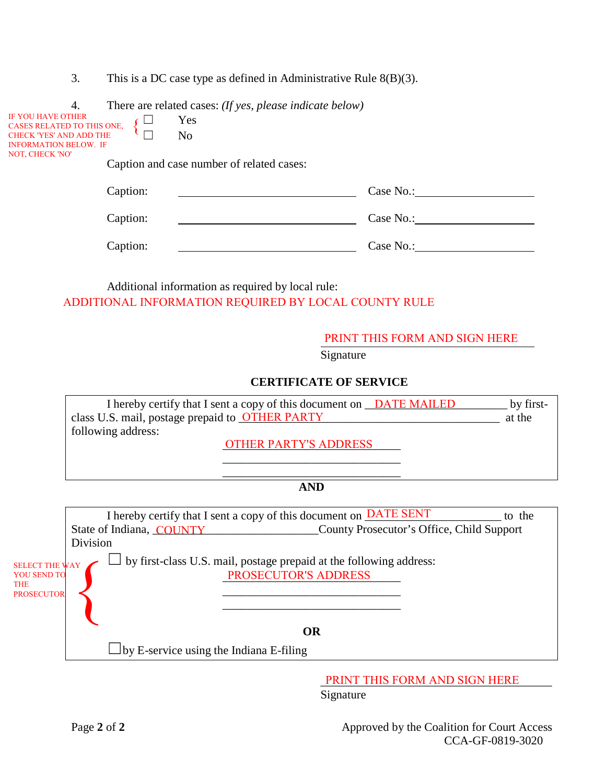3. This is a DC case type as defined in Administrative Rule 8(B)(3).

| 4.                                              | There are related cases: (If yes, please indicate below) |
|-------------------------------------------------|----------------------------------------------------------|
| IF YOU HAVE OTHER<br>CASES RELATED TO THIS ONE, | Yes                                                      |
| <b>CHECK 'YES' AND ADD THE</b>                  | No                                                       |
| <b>INFORMATION BELOW. IF</b><br>NOT, CHECK 'NO' | Caption and case number of related cases:                |
| Caption:                                        | Case No.:                                                |
| Caption:                                        | Case No.:                                                |
| Caption:                                        | Case No.:                                                |

Additional information as required by local rule: ADDITIONAL INFORMATION REQUIRED BY LOCAL COUNTY RULE

#### PRINT THIS FORM AND SIGN HERE

Signature

#### **CERTIFICATE OF SERVICE**

| I hereby certify that I sent a copy of this document on DATE MAILED | by first- |
|---------------------------------------------------------------------|-----------|
| class U.S. mail, postage prepaid to <b>OTHER PARTY</b>              | at the    |
| following address:                                                  |           |

OTHER PARTY'S ADDRESS

#### \_\_\_\_\_\_\_\_\_\_\_\_\_\_\_\_\_\_\_\_\_\_\_\_\_\_\_\_\_\_ **AND**

\_\_\_\_\_\_\_\_\_\_\_\_\_\_\_\_\_\_\_\_\_\_\_\_\_\_\_\_\_\_

I hereby certify that I sent a copy of this document on **DATE SENT** to the State of Indiana, COUNTY County Prosecutor's Office, Child Support Division

SELECT THE WAY YOU SEND TO THE PROSECUTOR

 $\sum_{\text{PRS} \text{EUV}}$  by first-class U.S. mail, postage prepaid at the following address: PROSECUTOR'S ADDRESS

#### **OR**

\_\_\_\_\_\_\_\_\_\_\_\_\_\_\_\_\_\_\_\_\_\_\_\_\_\_\_\_\_\_ \_\_\_\_\_\_\_\_\_\_\_\_\_\_\_\_\_\_\_\_\_\_\_\_\_\_\_\_\_\_

 $\square$  by E-service using the Indiana E-filing

PRINT THIS FORM AND SIGN HERE

Signature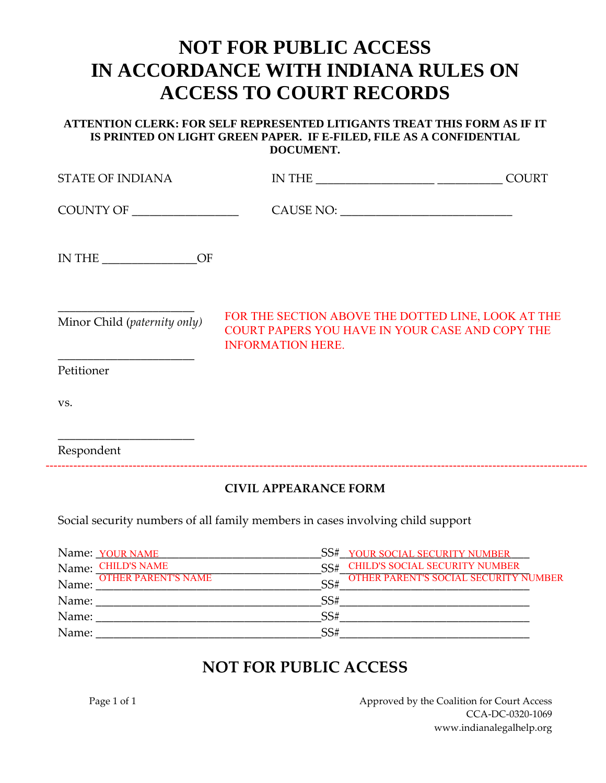# **NOT FOR PUBLIC ACCESS IN ACCORDANCE WITH INDIANA RULES ON ACCESS TO COURT RECORDS**

#### **ATTENTION CLERK: FOR SELF REPRESENTED LITIGANTS TREAT THIS FORM AS IF IT IS PRINTED ON LIGHT GREEN PAPER. IF E-FILED, FILE AS A CONFIDENTIAL DOCUMENT.**

| <b>STATE OF INDIANA</b>      |                                                                                                                                   | <b>COURT</b> |
|------------------------------|-----------------------------------------------------------------------------------------------------------------------------------|--------------|
| COUNTY OF                    |                                                                                                                                   |              |
| IN THE $\_\_$                |                                                                                                                                   |              |
| Minor Child (paternity only) | FOR THE SECTION ABOVE THE DOTTED LINE, LOOK AT THE<br>COURT PAPERS YOU HAVE IN YOUR CASE AND COPY THE<br><b>INFORMATION HERE.</b> |              |
| Petitioner                   |                                                                                                                                   |              |
| VS.                          |                                                                                                                                   |              |
| Respondent                   |                                                                                                                                   |              |

### **CIVIL APPEARANCE FORM**

Social security numbers of all family members in cases involving child support

| Name: YOUR NAME                     | SS# YOUR SOCIAL SECURITY NUMBER                     |
|-------------------------------------|-----------------------------------------------------|
| <b>CHILD'S NAME</b><br>Name:        | <b>CHILD'S SOCIAL SECURITY NUMBER</b><br>SS#        |
| <b>OTHER PARENT'S NAME</b><br>Name: | <b>OTHER PARENT'S SOCIAL SECURITY NUMBER</b><br>SS# |
| Name:                               | SS#                                                 |
| Name:                               | SS#                                                 |
| Name:                               | SS#                                                 |

# **NOT FOR PUBLIC ACCESS**

Page 1 of 1 Approved by the Coalition for Court Access CCA-DC-0320-1069 www.indianalegalhelp.org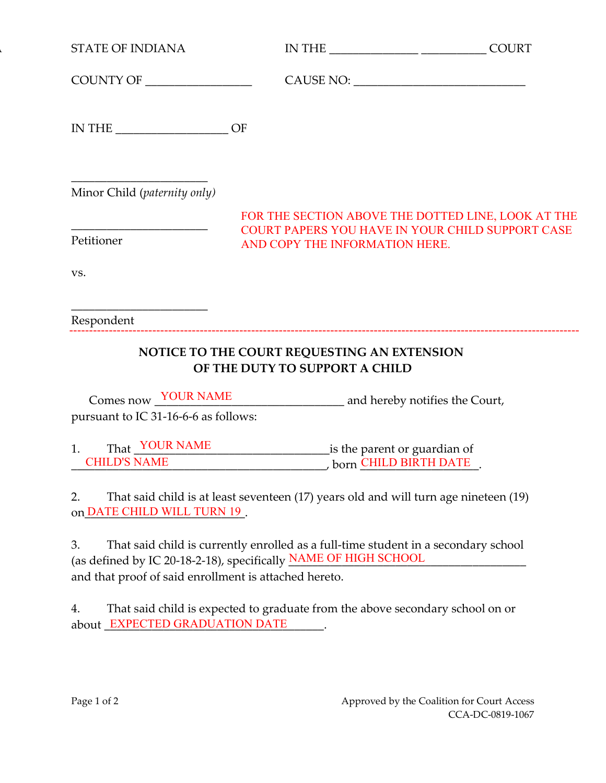| <b>STATE OF INDIANA</b>              |                                                                                   |                                                                                                        |
|--------------------------------------|-----------------------------------------------------------------------------------|--------------------------------------------------------------------------------------------------------|
|                                      |                                                                                   |                                                                                                        |
| IN THE $\_\_$                        | OF                                                                                |                                                                                                        |
| Minor Child (paternity only)         |                                                                                   |                                                                                                        |
| Petitioner                           | AND COPY THE INFORMATION HERE.                                                    | FOR THE SECTION ABOVE THE DOTTED LINE, LOOK AT THE<br>COURT PAPERS YOU HAVE IN YOUR CHILD SUPPORT CASE |
| VS.                                  |                                                                                   |                                                                                                        |
| Respondent                           |                                                                                   |                                                                                                        |
|                                      | NOTICE TO THE COURT REQUESTING AN EXTENSION<br>OF THE DUTY TO SUPPORT A CHILD     |                                                                                                        |
|                                      | Comes now <u>YOUR NAME</u> and hereby notifies the Court,                         |                                                                                                        |
| pursuant to IC 31-16-6-6 as follows: |                                                                                   |                                                                                                        |
|                                      | That YOUR NAME is the parent or guardian of<br>CHILD'S NAME born CHILD BIRTH DATE |                                                                                                        |

3. That said child is currently enrolled as a full-time student in a secondary school (as defined by IC 20-18-2-18), specifically **NAME OF HIGH SCHOOL** and that proof of said enrollment is attached hereto.

4. That said child is expected to graduate from the above secondary school on or about \_EXPECTED GRADUATION DATE \_\_\_\_\_\_\_.

on DATE CHILD WILL TURN 19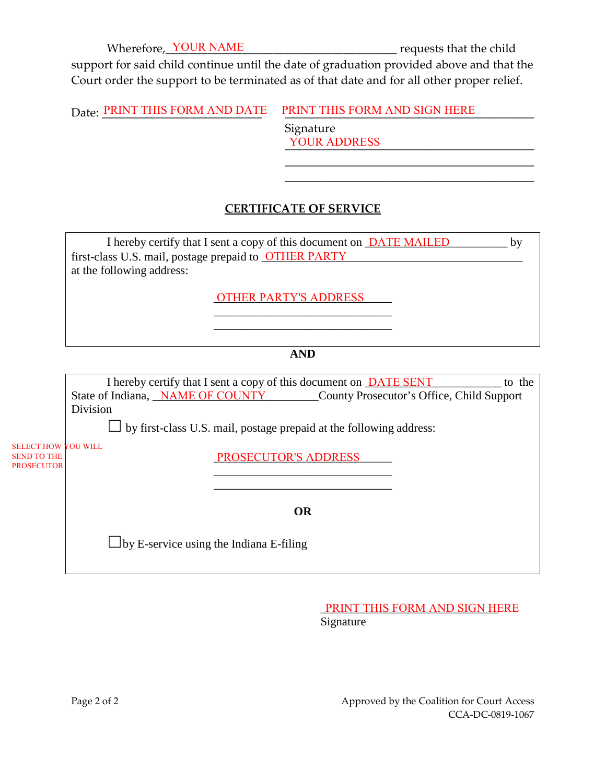Wherefore, YOUR NAME **The Contact of the child** requests that the child

\_\_\_\_\_\_\_\_\_\_\_\_\_\_\_\_\_\_\_\_\_\_\_\_\_\_\_\_\_\_\_\_\_\_\_\_\_\_\_\_\_\_ \_\_\_\_\_\_\_\_\_\_\_\_\_\_\_\_\_\_\_\_\_\_\_\_\_\_\_\_\_\_\_\_\_\_\_\_\_\_\_\_\_\_

support for said child continue until the date of graduation provided above and that the Court order the support to be terminated as of that date and for all other proper relief.

Date: PRINT THIS FORM AND DATE Signature PRINT THIS FORM AND SIGN HERE

\_\_\_\_\_\_\_\_\_\_\_\_\_\_\_\_\_\_\_\_\_\_\_\_\_\_\_\_\_\_\_\_\_\_\_\_\_\_\_\_\_\_ YOUR ADDRESS

## **CERTIFICATE OF SERVICE**

I hereby certify that I sent a copy of this document on **DATE MAILED** by first-class U.S. mail, postage prepaid to **OTHER PARTY** at the following address:

OTHER PARTY'S ADDRESS

#### **AND**

\_\_\_\_\_\_\_\_\_\_\_\_\_\_\_\_\_\_\_\_\_\_\_\_\_\_\_\_\_\_ \_\_\_\_\_\_\_\_\_\_\_\_\_\_\_\_\_\_\_\_\_\_\_\_\_\_\_\_\_\_

I hereby certify that I sent a copy of this document on **DATE SENT** [100] to the State of Indiana, *NAME OF COUNTY* County Prosecutor's Office, Child Support Division

 $\Box$  by first-class U.S. mail, postage prepaid at the following address:

SELECT HOW YOU WILL SEND TO THE PROSECUTOR

PROSECUTOR'S ADDRESS

**OR**

\_\_\_\_\_\_\_\_\_\_\_\_\_\_\_\_\_\_\_\_\_\_\_\_\_\_\_\_\_\_ \_\_\_\_\_\_\_\_\_\_\_\_\_\_\_\_\_\_\_\_\_\_\_\_\_\_\_\_\_\_

 $\square$  by E-service using the Indiana E-filing

PRINT THIS FORM AND SIGN HERE Signature

Page 2 of 2 Approved by the Coalition for Court Access CCA-DC-0819-1067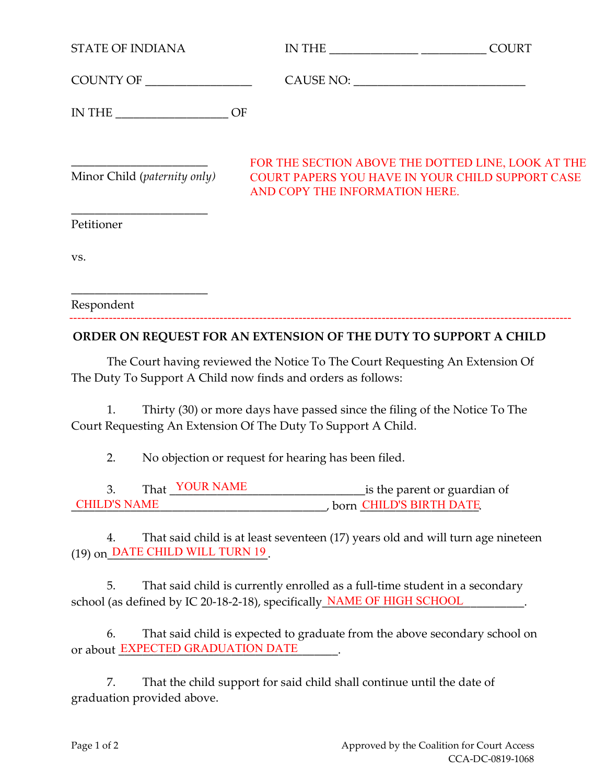| <b>STATE OF INDIANA</b>                                          |                                | <b>COURT</b>                                                                                                                                                                                                                                                                                                            |
|------------------------------------------------------------------|--------------------------------|-------------------------------------------------------------------------------------------------------------------------------------------------------------------------------------------------------------------------------------------------------------------------------------------------------------------------|
|                                                                  |                                |                                                                                                                                                                                                                                                                                                                         |
| IN THE $\_\_$                                                    |                                |                                                                                                                                                                                                                                                                                                                         |
|                                                                  | AND COPY THE INFORMATION HERE. | FOR THE SECTION ABOVE THE DOTTED LINE, LOOK AT THE<br>Minor Child (paternity only) COURT PAPERS YOU HAVE IN YOUR CHILD SUPPORT CASE                                                                                                                                                                                     |
| Petitioner                                                       |                                |                                                                                                                                                                                                                                                                                                                         |
| VS.                                                              |                                |                                                                                                                                                                                                                                                                                                                         |
| Respondent                                                       |                                |                                                                                                                                                                                                                                                                                                                         |
| ORDER ON REQUEST FOR AN EXTENSION OF THE DUTY TO SUPPORT A CHILD |                                | $\mathbb{P}^{1}$ $\cap$ $\mathbb{P}^{1}$ $\cap$ $\mathbb{P}^{1}$ $\cap$ $\mathbb{P}^{1}$ $\cap$ $\mathbb{P}^{1}$ $\cap$ $\mathbb{P}^{1}$ $\cap$ $\mathbb{P}^{1}$ $\cap$ $\mathbb{P}^{1}$ $\cap$ $\mathbb{P}^{1}$ $\cap$ $\mathbb{P}^{1}$ $\cap$ $\mathbb{P}^{1}$ $\cap$ $\mathbb{P}^{1}$ $\cap$ $\mathbb{P}^{1}$ $\cap$ |

The Court having reviewed the Notice To The Court Requesting An Extension Of The Duty To Support A Child now finds and orders as follows:

1. Thirty (30) or more days have passed since the filing of the Notice To The Court Requesting An Extension Of The Duty To Support A Child.

2. No objection or request for hearing has been filed.

| m1<br>Č. | K    | is the parent or guardian of |
|----------|------|------------------------------|
|          | horr | ' D'S RIRTH DATE             |

4. That said child is at least seventeen (17) years old and will turn age nineteen (19) on\_DATE CHILD WILL TURN 19

5. That said child is currently enrolled as a full-time student in a secondary school (as defined by IC 20-18-2-18), specifically **NAME OF HIGH SCHOOL** 

6. That said child is expected to graduate from the above secondary school on or about **EXPECTED GRADUATION DATE** 

7. That the child support for said child shall continue until the date of graduation provided above.